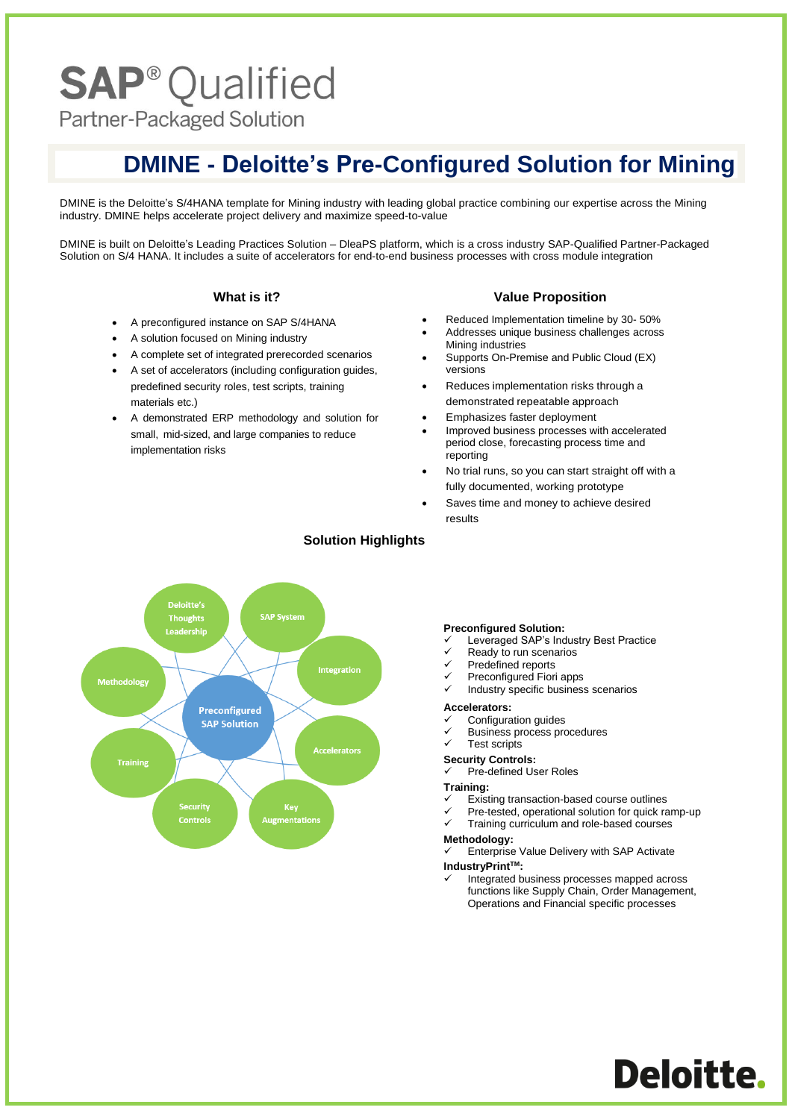# **SAP<sup>®</sup>Qualified**

Partner-Packaged Solution

### **DMINE - Deloitte's Pre-Configured Solution for Mining**

DMINE is the Deloitte's S/4HANA template for Mining industry with leading global practice combining our expertise across the Mining industry. DMINE helps accelerate project delivery and maximize speed-to-value

DMINE is built on Deloitte's Leading Practices Solution – DleaPS platform, which is a cross industry SAP-Qualified Partner-Packaged Solution on S/4 HANA. It includes a suite of accelerators for end-to-end business processes with cross module integration

#### **What is it?**

- A preconfigured instance on SAP S/4HANA
- A solution focused on Mining industry
- A complete set of integrated prerecorded scenarios
- A set of accelerators (including configuration guides, predefined security roles, test scripts, training materials etc.)
- A demonstrated ERP methodology and solution for small, mid-sized, and large companies to reduce implementation risks

#### **Value Proposition**

- Reduced Implementation timeline by 30- 50%
- Addresses unique business challenges across Mining industries
- Supports On-Premise and Public Cloud (EX) versions
- Reduces implementation risks through a demonstrated repeatable approach
- Emphasizes faster deployment
- Improved business processes with accelerated period close, forecasting process time and reporting
- No trial runs, so you can start straight off with a fully documented, working prototype
- Saves time and money to achieve desired results



#### **Solution Highlights**

#### **Preconfigured Solution:**

- Leveraged SAP's Industry Best Practice
- Ready to run scenarios
- Predefined reports
- Preconfigured Fiori apps
- Industry specific business scenarios

#### **Accelerators:**

- ✓ Configuration guides
- Business process procedures

#### Test scripts

- **Security Controls:**
- Pre-defined User Roles

#### **Training:**

- Existing transaction-based course outlines
- Pre-tested, operational solution for quick ramp-up
- Training curriculum and role-based courses

#### **Methodology:**

- Enterprise Value Delivery with SAP Activate
- **IndustryPrintTM:**
	- Integrated business processes mapped across functions like Supply Chain, Order Management, Operations and Financial specific processes

Deloitte.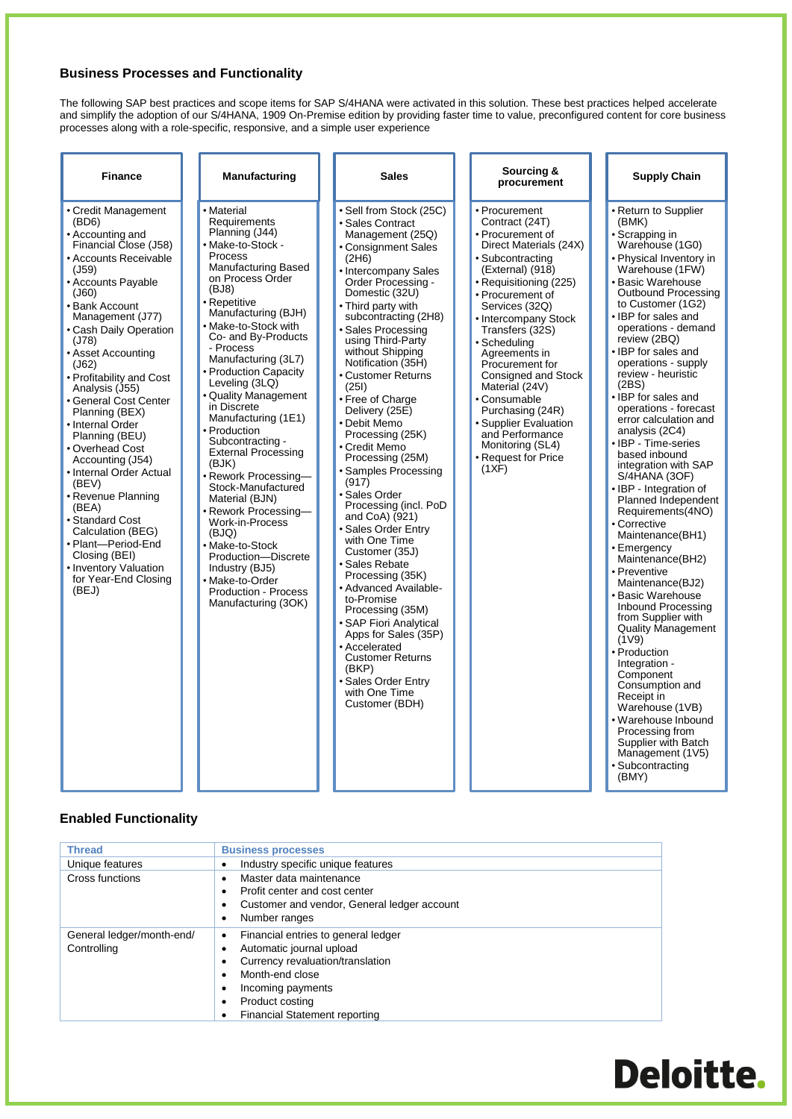#### **Business Processes and Functionality**

The following SAP best practices and scope items for SAP S/4HANA were activated in this solution. These best practices helped accelerate and simplify the adoption of our S/4HANA, 1909 On-Premise edition by providing faster time to value, preconfigured content for core business processes along with a role-specific, responsive, and a simple user experience

| <b>Finance</b>                                                                                                                                                                                                                                                                                                                                                                                                                                                                                                                                                                                                                             | Manufacturing                                                                                                                                                                                                                                                                                                                                                                                                                                                                                                                                                                                                                                                                                                         | <b>Sales</b>                                                                                                                                                                                                                                                                                                                                                                                                                                                                                                                                                                                                                                                                                                                                                                                                                                                              | Sourcing &<br>procurement                                                                                                                                                                                                                                                                                                                                                                                                                                         | <b>Supply Chain</b>                                                                                                                                                                                                                                                                                                                                                                                                                                                                                                                                                                                                                                                                                                                                                                                                                                                                                                                                                                                                         |
|--------------------------------------------------------------------------------------------------------------------------------------------------------------------------------------------------------------------------------------------------------------------------------------------------------------------------------------------------------------------------------------------------------------------------------------------------------------------------------------------------------------------------------------------------------------------------------------------------------------------------------------------|-----------------------------------------------------------------------------------------------------------------------------------------------------------------------------------------------------------------------------------------------------------------------------------------------------------------------------------------------------------------------------------------------------------------------------------------------------------------------------------------------------------------------------------------------------------------------------------------------------------------------------------------------------------------------------------------------------------------------|---------------------------------------------------------------------------------------------------------------------------------------------------------------------------------------------------------------------------------------------------------------------------------------------------------------------------------------------------------------------------------------------------------------------------------------------------------------------------------------------------------------------------------------------------------------------------------------------------------------------------------------------------------------------------------------------------------------------------------------------------------------------------------------------------------------------------------------------------------------------------|-------------------------------------------------------------------------------------------------------------------------------------------------------------------------------------------------------------------------------------------------------------------------------------------------------------------------------------------------------------------------------------------------------------------------------------------------------------------|-----------------------------------------------------------------------------------------------------------------------------------------------------------------------------------------------------------------------------------------------------------------------------------------------------------------------------------------------------------------------------------------------------------------------------------------------------------------------------------------------------------------------------------------------------------------------------------------------------------------------------------------------------------------------------------------------------------------------------------------------------------------------------------------------------------------------------------------------------------------------------------------------------------------------------------------------------------------------------------------------------------------------------|
| • Credit Management<br>(BD6)<br>• Accounting and<br>Financial Close (J58)<br><b>Accounts Receivable</b><br>(J59)<br>• Accounts Payable<br>$($ J60)<br>• Bank Account<br>Management (J77)<br>• Cash Daily Operation<br>(J78)<br>• Asset Accounting<br>(J62)<br>• Profitability and Cost<br>Analysis (J55)<br>General Cost Center<br>Planning (BEX)<br>• Internal Order<br>Planning (BEU)<br>• Overhead Cost<br>Accounting (J54)<br>• Internal Order Actual<br>(BEV)<br>• Revenue Planning<br>(BEA)<br>• Standard Cost<br>Calculation (BEG)<br>• Plant-Period-End<br>Closing (BEI)<br>• Inventory Valuation<br>for Year-End Closing<br>(BEJ) | • Material<br>Requirements<br>Planning (J44)<br>• Make-to-Stock -<br><b>Process</b><br><b>Manufacturing Based</b><br>on Process Order<br>(BJ8)<br>• Repetitive<br>Manufacturing (BJH)<br>• Make-to-Stock with<br>Co- and By-Products<br>- Process<br>Manufacturing (3L7)<br>• Production Capacity<br>Leveling (3LQ)<br>• Quality Management<br>in Discrete<br>Manufacturing (1E1)<br>• Production<br>Subcontracting -<br><b>External Processing</b><br>(BJK)<br>• Rework Processing-<br>Stock-Manufactured<br>Material (BJN)<br>· Rework Processing-<br>Work-in-Process<br>(BJQ)<br>• Make-to-Stock<br>Production-Discrete<br>Industry (BJ5)<br>• Make-to-Order<br><b>Production - Process</b><br>Manufacturing (3OK) | • Sell from Stock (25C)<br>• Sales Contract<br>Management (25Q)<br>• Consignment Sales<br>(2H6)<br>• Intercompany Sales<br>Order Processing -<br>Domestic (32U)<br>• Third party with<br>subcontracting (2H8)<br>• Sales Processing<br>using Third-Party<br>without Shipping<br>Notification (35H)<br>• Customer Returns<br>(251)<br>• Free of Charge<br>Delivery (25E)<br>• Debit Memo<br>Processing (25K)<br>• Credit Memo<br>Processing (25M)<br>• Samples Processing<br>(917)<br>• Sales Order<br>Processing (incl. PoD<br>and CoA) (921)<br>· Sales Order Entry<br>with One Time<br>Customer (35J)<br>• Sales Rebate<br>Processing (35K)<br>• Advanced Available-<br>to-Promise<br>Processing (35M)<br>• SAP Fiori Analytical<br>Apps for Sales (35P)<br>• Accelerated<br><b>Customer Returns</b><br>(BKP)<br>· Sales Order Entry<br>with One Time<br>Customer (BDH) | • Procurement<br>Contract (24T)<br>• Procurement of<br>Direct Materials (24X)<br>· Subcontracting<br>(External) (918)<br>• Requisitioning (225)<br>• Procurement of<br>Services (32Q)<br>• Intercompany Stock<br>Transfers (32S)<br>· Scheduling<br>Agreements in<br>Procurement for<br>Consigned and Stock<br>Material (24V)<br>• Consumable<br>Purchasing (24R)<br>· Supplier Evaluation<br>and Performance<br>Monitoring (SL4)<br>• Request for Price<br>(1XF) | • Return to Supplier<br>(BMK)<br>• Scrapping in<br>Warehouse (1G0)<br>• Physical Inventory in<br>Warehouse (1FW)<br>• Basic Warehouse<br><b>Outbound Processing</b><br>to Customer (1G2)<br>• IBP for sales and<br>operations - demand<br>review (2BQ)<br>• IBP for sales and<br>operations - supply<br>review - heuristic<br>(2BS)<br>• IBP for sales and<br>operations - forecast<br>error calculation and<br>analysis (2C4)<br>• IBP - Time-series<br>based inbound<br>integration with SAP<br>S/4HANA (3OF)<br>• IBP - Integration of<br>Planned Independent<br>Requirements(4NO)<br>• Corrective<br>Maintenance(BH1)<br>• Emergency<br>Maintenance(BH2)<br>• Preventive<br>Maintenance(BJ2)<br>• Basic Warehouse<br>Inbound Processing<br>from Supplier with<br><b>Quality Management</b><br>(1V9)<br>• Production<br>Integration -<br>Component<br>Consumption and<br>Receipt in<br>Warehouse (1VB)<br>• Warehouse Inbound<br>Processing from<br>Supplier with Batch<br>Management (1V5)<br>· Subcontracting<br>(BMY) |

#### **Enabled Functionality**

| <b>Thread</b>                            | <b>Business processes</b>                                                                                                                                                                       |
|------------------------------------------|-------------------------------------------------------------------------------------------------------------------------------------------------------------------------------------------------|
| Unique features                          | Industry specific unique features                                                                                                                                                               |
| Cross functions                          | Master data maintenance<br>Profit center and cost center                                                                                                                                        |
|                                          | Customer and vendor, General ledger account<br>Number ranges                                                                                                                                    |
| General ledger/month-end/<br>Controlling | Financial entries to general ledger<br>Automatic journal upload<br>Currency revaluation/translation<br>Month-end close<br>Incoming payments<br>Product costing<br>Financial Statement reporting |

## **Deloitte.**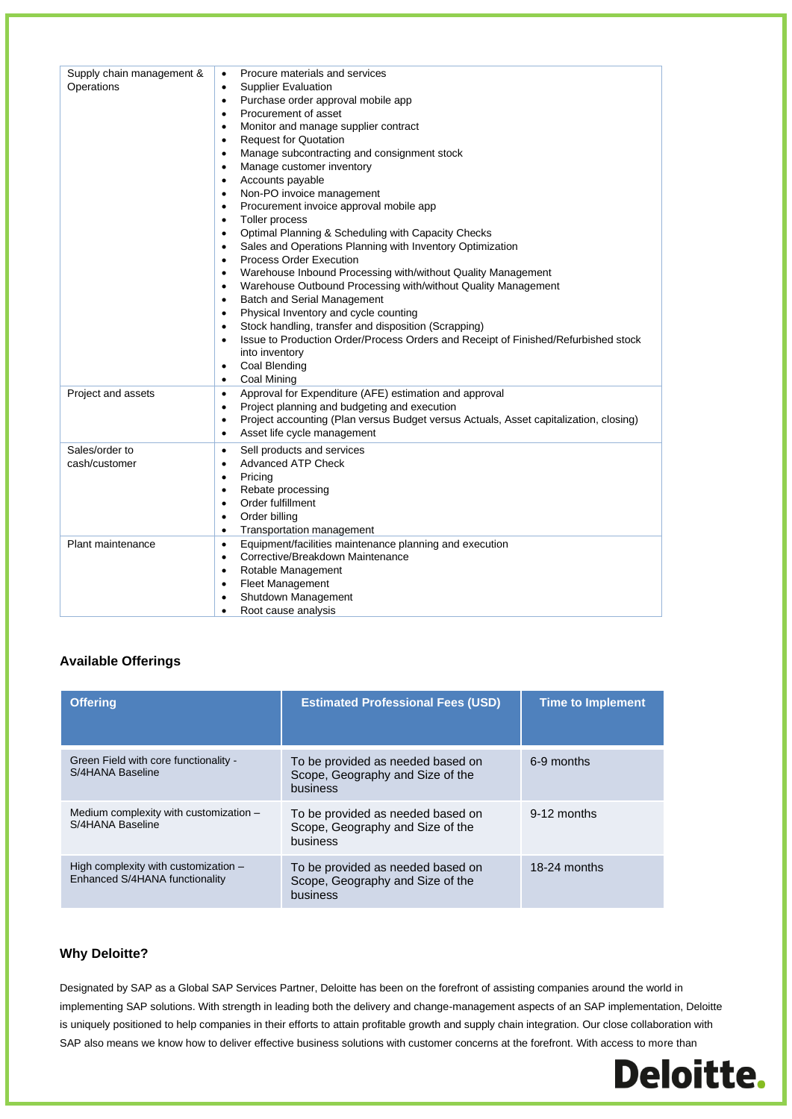| Supply chain management &<br>Operations | Procure materials and services<br>$\bullet$<br><b>Supplier Evaluation</b><br>$\bullet$<br>Purchase order approval mobile app<br>٠<br>Procurement of asset<br>$\bullet$<br>Monitor and manage supplier contract<br>٠<br><b>Request for Quotation</b><br>$\bullet$<br>Manage subcontracting and consignment stock<br>$\bullet$<br>Manage customer inventory<br>$\bullet$<br>Accounts payable<br>$\bullet$<br>Non-PO invoice management<br>$\bullet$<br>Procurement invoice approval mobile app<br>٠<br>Toller process<br>$\bullet$<br>Optimal Planning & Scheduling with Capacity Checks<br>$\bullet$<br>Sales and Operations Planning with Inventory Optimization<br>$\bullet$<br><b>Process Order Execution</b><br>$\bullet$<br>Warehouse Inbound Processing with/without Quality Management<br>$\bullet$<br>Warehouse Outbound Processing with/without Quality Management<br>$\bullet$<br><b>Batch and Serial Management</b><br>$\bullet$<br>Physical Inventory and cycle counting<br>$\bullet$<br>Stock handling, transfer and disposition (Scrapping)<br>$\bullet$<br>Issue to Production Order/Process Orders and Receipt of Finished/Refurbished stock<br>$\bullet$<br>into inventory<br>Coal Blending<br>$\bullet$<br><b>Coal Mining</b><br>$\bullet$ |
|-----------------------------------------|-------------------------------------------------------------------------------------------------------------------------------------------------------------------------------------------------------------------------------------------------------------------------------------------------------------------------------------------------------------------------------------------------------------------------------------------------------------------------------------------------------------------------------------------------------------------------------------------------------------------------------------------------------------------------------------------------------------------------------------------------------------------------------------------------------------------------------------------------------------------------------------------------------------------------------------------------------------------------------------------------------------------------------------------------------------------------------------------------------------------------------------------------------------------------------------------------------------------------------------------------------------|
| Project and assets                      | Approval for Expenditure (AFE) estimation and approval<br>$\bullet$<br>Project planning and budgeting and execution<br>$\bullet$<br>Project accounting (Plan versus Budget versus Actuals, Asset capitalization, closing)<br>$\bullet$<br>Asset life cycle management<br>$\bullet$                                                                                                                                                                                                                                                                                                                                                                                                                                                                                                                                                                                                                                                                                                                                                                                                                                                                                                                                                                          |
| Sales/order to<br>cash/customer         | Sell products and services<br>$\bullet$<br><b>Advanced ATP Check</b><br>$\bullet$<br>Pricing<br>٠<br>Rebate processing<br>$\bullet$<br>Order fulfillment<br>$\bullet$<br>Order billing<br>$\bullet$<br>Transportation management<br>$\bullet$                                                                                                                                                                                                                                                                                                                                                                                                                                                                                                                                                                                                                                                                                                                                                                                                                                                                                                                                                                                                               |
| Plant maintenance                       | Equipment/facilities maintenance planning and execution<br>$\bullet$<br>Corrective/Breakdown Maintenance<br>$\bullet$<br>Rotable Management<br>$\bullet$<br><b>Fleet Management</b><br>$\bullet$<br>Shutdown Management<br>$\bullet$<br>Root cause analysis<br>$\bullet$                                                                                                                                                                                                                                                                                                                                                                                                                                                                                                                                                                                                                                                                                                                                                                                                                                                                                                                                                                                    |

#### **Available Offerings**

| <b>Offering</b>                                                          | <b>Estimated Professional Fees (USD)</b>                                          | <b>Time to Implement</b> |
|--------------------------------------------------------------------------|-----------------------------------------------------------------------------------|--------------------------|
| Green Field with core functionality -<br>S/4HANA Baseline                | To be provided as needed based on<br>Scope, Geography and Size of the<br>business | 6-9 months               |
| Medium complexity with customization -<br>S/4HANA Baseline               | To be provided as needed based on<br>Scope, Geography and Size of the<br>business | $9-12$ months            |
| High complexity with customization $-$<br>Enhanced S/4HANA functionality | To be provided as needed based on<br>Scope, Geography and Size of the<br>business | 18-24 months             |

#### **Why Deloitte?**

Designated by SAP as a Global SAP Services Partner, Deloitte has been on the forefront of assisting companies around the world in implementing SAP solutions. With strength in leading both the delivery and change-management aspects of an SAP implementation, Deloitte is uniquely positioned to help companies in their efforts to attain profitable growth and supply chain integration. Our close collaboration with SAP also means we know how to deliver effective business solutions with customer concerns at the forefront. With access to more than